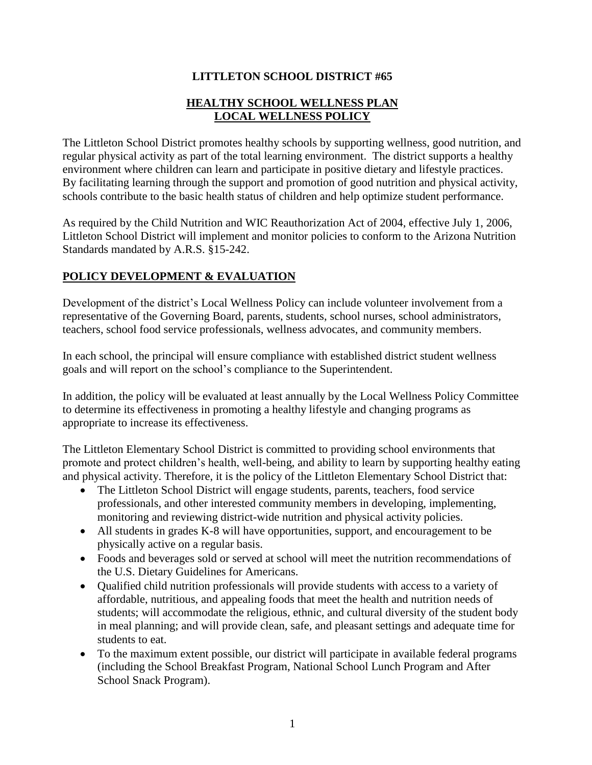#### **LITTLETON SCHOOL DISTRICT #65**

#### **HEALTHY SCHOOL WELLNESS PLAN LOCAL WELLNESS POLICY**

The Littleton School District promotes healthy schools by supporting wellness, good nutrition, and regular physical activity as part of the total learning environment. The district supports a healthy environment where children can learn and participate in positive dietary and lifestyle practices. By facilitating learning through the support and promotion of good nutrition and physical activity, schools contribute to the basic health status of children and help optimize student performance.

As required by the Child Nutrition and WIC Reauthorization Act of 2004, effective July 1, 2006, Littleton School District will implement and monitor policies to conform to the Arizona Nutrition Standards mandated by A.R.S. §15-242.

#### **POLICY DEVELOPMENT & EVALUATION**

Development of the district's Local Wellness Policy can include volunteer involvement from a representative of the Governing Board, parents, students, school nurses, school administrators, teachers, school food service professionals, wellness advocates, and community members.

In each school, the principal will ensure compliance with established district student wellness goals and will report on the school's compliance to the Superintendent.

In addition, the policy will be evaluated at least annually by the Local Wellness Policy Committee to determine its effectiveness in promoting a healthy lifestyle and changing programs as appropriate to increase its effectiveness.

The Littleton Elementary School District is committed to providing school environments that promote and protect children's health, well-being, and ability to learn by supporting healthy eating and physical activity. Therefore, it is the policy of the Littleton Elementary School District that:

- The Littleton School District will engage students, parents, teachers, food service professionals, and other interested community members in developing, implementing, monitoring and reviewing district-wide nutrition and physical activity policies.
- All students in grades K-8 will have opportunities, support, and encouragement to be physically active on a regular basis.
- Foods and beverages sold or served at school will meet the nutrition recommendations of the U.S. Dietary Guidelines for Americans.
- Oualified child nutrition professionals will provide students with access to a variety of affordable, nutritious, and appealing foods that meet the health and nutrition needs of students; will accommodate the religious, ethnic, and cultural diversity of the student body in meal planning; and will provide clean, safe, and pleasant settings and adequate time for students to eat.
- To the maximum extent possible, our district will participate in available federal programs (including the School Breakfast Program, National School Lunch Program and After School Snack Program).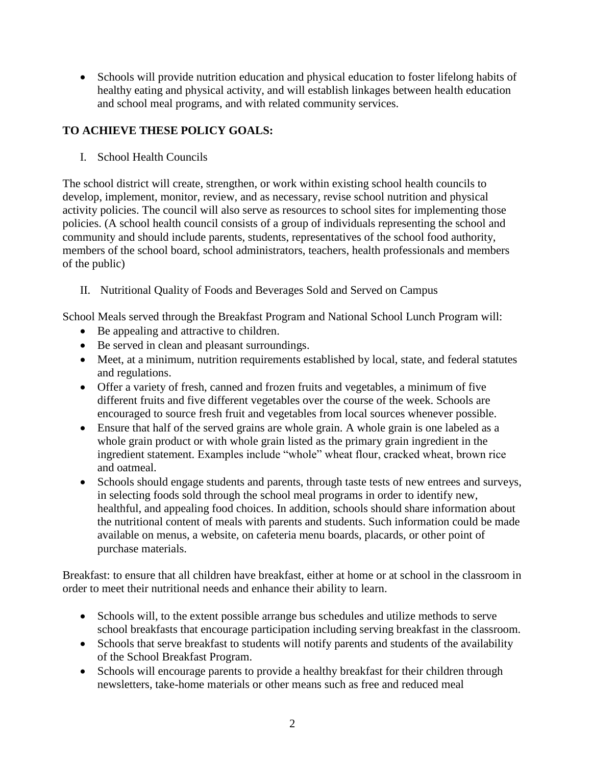Schools will provide nutrition education and physical education to foster lifelong habits of healthy eating and physical activity, and will establish linkages between health education and school meal programs, and with related community services.

## **TO ACHIEVE THESE POLICY GOALS:**

I. School Health Councils

The school district will create, strengthen, or work within existing school health councils to develop, implement, monitor, review, and as necessary, revise school nutrition and physical activity policies. The council will also serve as resources to school sites for implementing those policies. (A school health council consists of a group of individuals representing the school and community and should include parents, students, representatives of the school food authority, members of the school board, school administrators, teachers, health professionals and members of the public)

- II. Nutritional Quality of Foods and Beverages Sold and Served on Campus
- School Meals served through the Breakfast Program and National School Lunch Program will:
	- Be appealing and attractive to children.
	- Be served in clean and pleasant surroundings.
	- Meet, at a minimum, nutrition requirements established by local, state, and federal statutes and regulations.
	- Offer a variety of fresh, canned and frozen fruits and vegetables, a minimum of five different fruits and five different vegetables over the course of the week. Schools are encouraged to source fresh fruit and vegetables from local sources whenever possible.
	- Ensure that half of the served grains are whole grain. A whole grain is one labeled as a whole grain product or with whole grain listed as the primary grain ingredient in the ingredient statement. Examples include "whole" wheat flour, cracked wheat, brown rice and oatmeal.
	- Schools should engage students and parents, through taste tests of new entrees and surveys, in selecting foods sold through the school meal programs in order to identify new, healthful, and appealing food choices. In addition, schools should share information about the nutritional content of meals with parents and students. Such information could be made available on menus, a website, on cafeteria menu boards, placards, or other point of purchase materials.

Breakfast: to ensure that all children have breakfast, either at home or at school in the classroom in order to meet their nutritional needs and enhance their ability to learn.

- Schools will, to the extent possible arrange bus schedules and utilize methods to serve school breakfasts that encourage participation including serving breakfast in the classroom.
- Schools that serve breakfast to students will notify parents and students of the availability of the School Breakfast Program.
- Schools will encourage parents to provide a healthy breakfast for their children through newsletters, take-home materials or other means such as free and reduced meal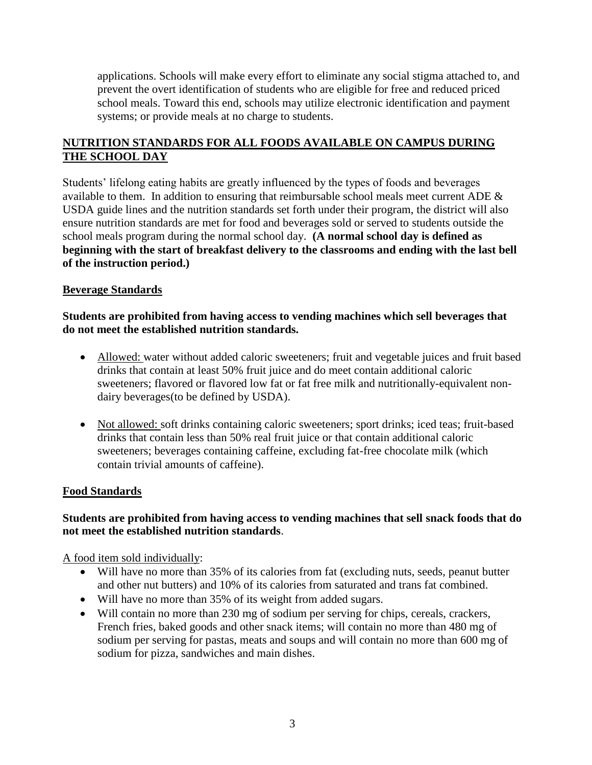applications. Schools will make every effort to eliminate any social stigma attached to, and prevent the overt identification of students who are eligible for free and reduced priced school meals. Toward this end, schools may utilize electronic identification and payment systems; or provide meals at no charge to students.

## **NUTRITION STANDARDS FOR ALL FOODS AVAILABLE ON CAMPUS DURING THE SCHOOL DAY**

Students' lifelong eating habits are greatly influenced by the types of foods and beverages available to them. In addition to ensuring that reimbursable school meals meet current ADE  $\&$ USDA guide lines and the nutrition standards set forth under their program, the district will also ensure nutrition standards are met for food and beverages sold or served to students outside the school meals program during the normal school day. **(A normal school day is defined as beginning with the start of breakfast delivery to the classrooms and ending with the last bell of the instruction period.)**

#### **Beverage Standards**

#### **Students are prohibited from having access to vending machines which sell beverages that do not meet the established nutrition standards.**

- Allowed: water without added caloric sweeteners; fruit and vegetable juices and fruit based drinks that contain at least 50% fruit juice and do meet contain additional caloric sweeteners; flavored or flavored low fat or fat free milk and nutritionally-equivalent nondairy beverages(to be defined by USDA).
- Not allowed: soft drinks containing caloric sweeteners; sport drinks; iced teas; fruit-based drinks that contain less than 50% real fruit juice or that contain additional caloric sweeteners; beverages containing caffeine, excluding fat-free chocolate milk (which contain trivial amounts of caffeine).

#### **Food Standards**

#### **Students are prohibited from having access to vending machines that sell snack foods that do not meet the established nutrition standards**.

A food item sold individually:

- Will have no more than 35% of its calories from fat (excluding nuts, seeds, peanut butter and other nut butters) and 10% of its calories from saturated and trans fat combined.
- Will have no more than 35% of its weight from added sugars.
- Will contain no more than 230 mg of sodium per serving for chips, cereals, crackers, French fries, baked goods and other snack items; will contain no more than 480 mg of sodium per serving for pastas, meats and soups and will contain no more than 600 mg of sodium for pizza, sandwiches and main dishes.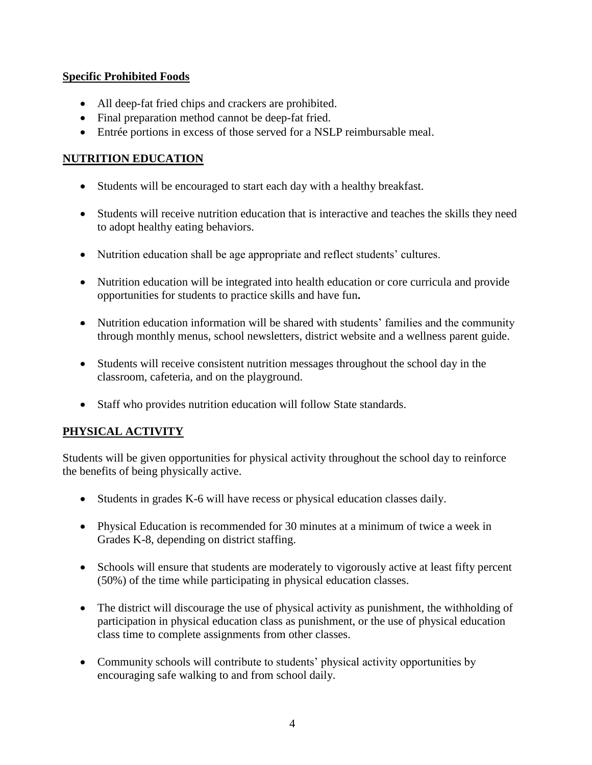#### **Specific Prohibited Foods**

- All deep-fat fried chips and crackers are prohibited.
- Final preparation method cannot be deep-fat fried.
- Entrée portions in excess of those served for a NSLP reimbursable meal.

## **NUTRITION EDUCATION**

- Students will be encouraged to start each day with a healthy breakfast.
- Students will receive nutrition education that is interactive and teaches the skills they need to adopt healthy eating behaviors.
- Nutrition education shall be age appropriate and reflect students' cultures.
- Nutrition education will be integrated into health education or core curricula and provide opportunities for students to practice skills and have fun**.**
- Nutrition education information will be shared with students' families and the community through monthly menus, school newsletters, district website and a wellness parent guide.
- Students will receive consistent nutrition messages throughout the school day in the classroom, cafeteria, and on the playground.
- Staff who provides nutrition education will follow State standards.

## **PHYSICAL ACTIVITY**

Students will be given opportunities for physical activity throughout the school day to reinforce the benefits of being physically active.

- Students in grades K-6 will have recess or physical education classes daily.
- Physical Education is recommended for 30 minutes at a minimum of twice a week in Grades K-8, depending on district staffing.
- Schools will ensure that students are moderately to vigorously active at least fifty percent (50%) of the time while participating in physical education classes.
- The district will discourage the use of physical activity as punishment, the withholding of participation in physical education class as punishment, or the use of physical education class time to complete assignments from other classes.
- Community schools will contribute to students' physical activity opportunities by encouraging safe walking to and from school daily.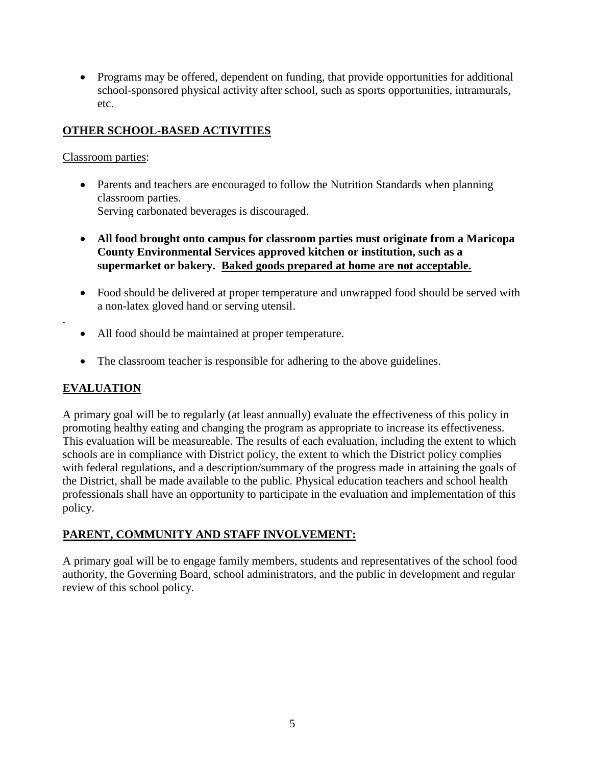• Programs may be offered, dependent on funding, that provide opportunities for additional school-sponsored physical activity after school, such as sports opportunities, intramurals, etc.

## **OTHER SCHOOL-BASED ACTIVITIES**

## Classroom parties:

- Parents and teachers are encouraged to follow the Nutrition Standards when planning classroom parties. Serving carbonated beverages is discouraged.
- **All food brought onto campus for classroom parties must originate from a Maricopa County Environmental Services approved kitchen or institution, such as a supermarket or bakery. Baked goods prepared at home are not acceptable.**
- Food should be delivered at proper temperature and unwrapped food should be served with a non-latex gloved hand or serving utensil.
- All food should be maintained at proper temperature.
- The classroom teacher is responsible for adhering to the above guidelines.

# **EVALUATION**

.

A primary goal will be to regularly (at least annually) evaluate the effectiveness of this policy in promoting healthy eating and changing the program as appropriate to increase its effectiveness. This evaluation will be measureable. The results of each evaluation, including the extent to which schools are in compliance with District policy, the extent to which the District policy complies with federal regulations, and a description/summary of the progress made in attaining the goals of the District, shall be made available to the public. Physical education teachers and school health professionals shall have an opportunity to participate in the evaluation and implementation of this policy.

# **PARENT, COMMUNITY AND STAFF INVOLVEMENT:**

A primary goal will be to engage family members, students and representatives of the school food authority, the Governing Board, school administrators, and the public in development and regular review of this school policy.